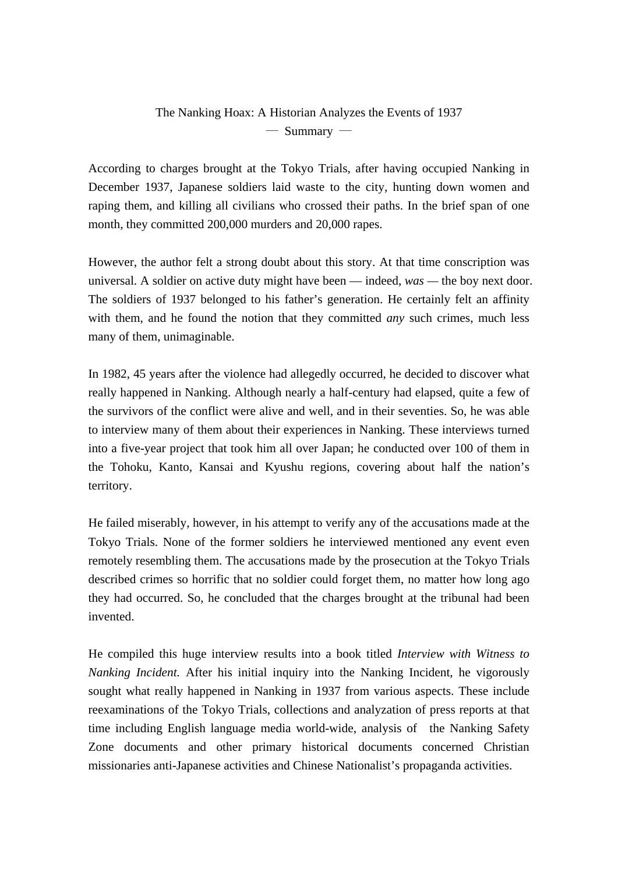## The Nanking Hoax: A Historian Analyzes the Events of 1937 ― Summary ―

According to charges brought at the Tokyo Trials, after having occupied Nanking in December 1937, Japanese soldiers laid waste to the city, hunting down women and raping them, and killing all civilians who crossed their paths. In the brief span of one month, they committed 200,000 murders and 20,000 rapes.

However, the author felt a strong doubt about this story. At that time conscription was universal. A soldier on active duty might have been — indeed, *was —* the boy next door. The soldiers of 1937 belonged to his father's generation. He certainly felt an affinity with them, and he found the notion that they committed *any* such crimes, much less many of them, unimaginable.

In 1982, 45 years after the violence had allegedly occurred, he decided to discover what really happened in Nanking. Although nearly a half-century had elapsed, quite a few of the survivors of the conflict were alive and well, and in their seventies. So, he was able to interview many of them about their experiences in Nanking. These interviews turned into a five-year project that took him all over Japan; he conducted over 100 of them in the Tohoku, Kanto, Kansai and Kyushu regions, covering about half the nation's territory.

He failed miserably, however, in his attempt to verify any of the accusations made at the Tokyo Trials. None of the former soldiers he interviewed mentioned any event even remotely resembling them. The accusations made by the prosecution at the Tokyo Trials described crimes so horrific that no soldier could forget them, no matter how long ago they had occurred. So, he concluded that the charges brought at the tribunal had been invented.

He compiled this huge interview results into a book titled *Interview with Witness to Nanking Incident.* After his initial inquiry into the Nanking Incident, he vigorously sought what really happened in Nanking in 1937 from various aspects. These include reexaminations of the Tokyo Trials, collections and analyzation of press reports at that time including English language media world-wide, analysis of the Nanking Safety Zone documents and other primary historical documents concerned Christian missionaries anti-Japanese activities and Chinese Nationalist's propaganda activities.